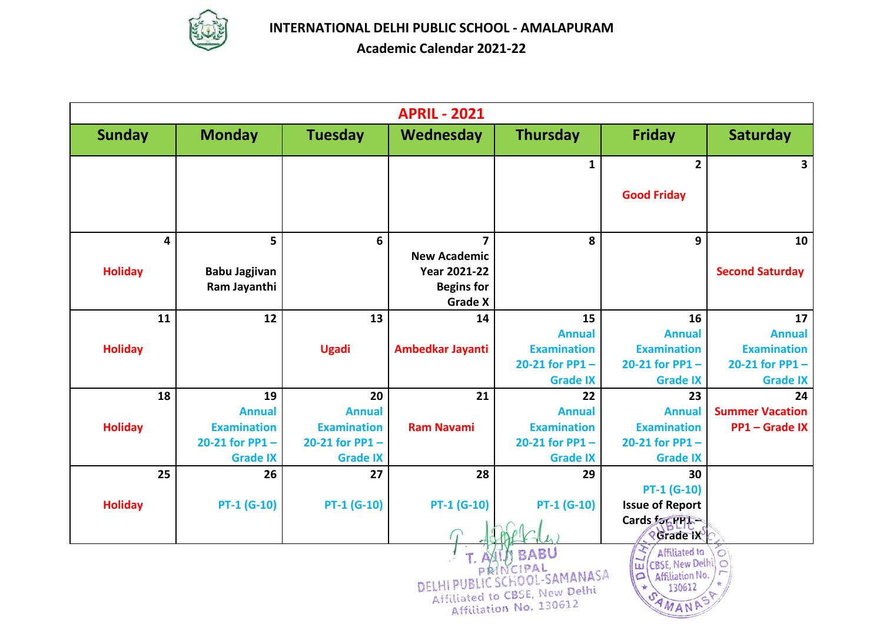

|                | <b>APRIL - 2021</b> |                      |                    |                     |                                                                                                   |                                                                                           |                         |  |  |  |  |
|----------------|---------------------|----------------------|--------------------|---------------------|---------------------------------------------------------------------------------------------------|-------------------------------------------------------------------------------------------|-------------------------|--|--|--|--|
| <b>Sunday</b>  |                     | <b>Monday</b>        | <b>Tuesday</b>     | Wednesday           | <b>Thursday</b>                                                                                   | <b>Friday</b>                                                                             | <b>Saturday</b>         |  |  |  |  |
|                |                     |                      |                    |                     | $\mathbf{1}$                                                                                      | $\overline{\mathbf{2}}$                                                                   | $\overline{\mathbf{3}}$ |  |  |  |  |
|                |                     |                      |                    |                     |                                                                                                   | <b>Good Friday</b>                                                                        |                         |  |  |  |  |
|                | 4                   | 5                    | 6                  | 7                   | 8                                                                                                 | 9                                                                                         | 10                      |  |  |  |  |
|                |                     |                      |                    | <b>New Academic</b> |                                                                                                   |                                                                                           |                         |  |  |  |  |
| <b>Holiday</b> |                     | <b>Babu Jagjivan</b> |                    | <b>Year 2021-22</b> |                                                                                                   |                                                                                           | <b>Second Saturday</b>  |  |  |  |  |
|                |                     | Ram Jayanthi         |                    | <b>Begins for</b>   |                                                                                                   |                                                                                           |                         |  |  |  |  |
|                |                     |                      |                    | <b>Grade X</b>      |                                                                                                   |                                                                                           |                         |  |  |  |  |
|                | 11                  | 12                   | 13                 | 14                  | 15                                                                                                | 16                                                                                        | 17                      |  |  |  |  |
|                |                     |                      |                    |                     | <b>Annual</b>                                                                                     | <b>Annual</b>                                                                             | <b>Annual</b>           |  |  |  |  |
| <b>Holiday</b> |                     |                      | <b>Ugadi</b>       | Ambedkar Jayanti    | <b>Examination</b>                                                                                | <b>Examination</b>                                                                        | <b>Examination</b>      |  |  |  |  |
|                |                     |                      |                    |                     | 20-21 for $PP1 -$                                                                                 | 20-21 for $PP1 -$                                                                         | 20-21 for $PP1 -$       |  |  |  |  |
|                | 18                  | 19                   | 20                 | 21                  | <b>Grade IX</b><br>22                                                                             | <b>Grade IX</b><br>23                                                                     | <b>Grade IX</b><br>24   |  |  |  |  |
|                |                     | <b>Annual</b>        | <b>Annual</b>      |                     | <b>Annual</b>                                                                                     | <b>Annual</b>                                                                             | <b>Summer Vacation</b>  |  |  |  |  |
| <b>Holiday</b> |                     | <b>Examination</b>   | <b>Examination</b> | <b>Ram Navami</b>   | <b>Examination</b>                                                                                | <b>Examination</b>                                                                        | <b>PP1-Grade IX</b>     |  |  |  |  |
|                |                     | 20-21 for $PP1 -$    | 20-21 for $PP1 -$  |                     | 20-21 for $PP1 -$                                                                                 | 20-21 for $PP1 -$                                                                         |                         |  |  |  |  |
|                |                     | <b>Grade IX</b>      | <b>Grade IX</b>    |                     | <b>Grade IX</b>                                                                                   | <b>Grade IX</b>                                                                           |                         |  |  |  |  |
|                | 25                  | 26                   | 27                 | 28                  | 29                                                                                                | 30                                                                                        |                         |  |  |  |  |
|                |                     |                      |                    |                     |                                                                                                   | PT-1 (G-10)                                                                               |                         |  |  |  |  |
| <b>Holiday</b> |                     | $PT-1$ (G-10)        | PT-1 (G-10)        | PT-1 (G-10)         | $PT-1$ (G-10)                                                                                     | <b>Issue of Report</b>                                                                    |                         |  |  |  |  |
|                |                     |                      |                    |                     |                                                                                                   | Cards FORPH-<br><b><i>Rigrade</i></b> IX                                                  |                         |  |  |  |  |
|                |                     |                      |                    | DELHI               | <b>BABU</b><br>NCIPAL<br>HOOL-SAMANASA<br>Affiliated to CBSE, New Delhi<br>Affiliation No. 130612 | Affiliated to<br>CBSE, New Delhi)<br>ωī<br>$\circ$<br>Affiliation No.<br>130612<br>AMANAS | $\bullet$<br>$\circ$    |  |  |  |  |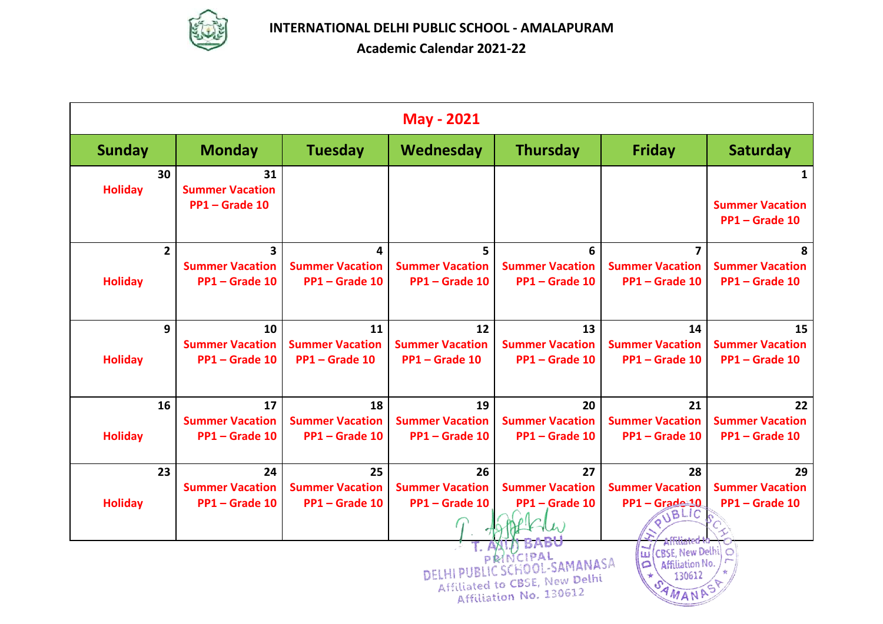

|                | <b>May - 2021</b>                                                                                                                                                                                |                                                                   |                                                |                                              |                                              |                                                       |                                              |  |  |  |
|----------------|--------------------------------------------------------------------------------------------------------------------------------------------------------------------------------------------------|-------------------------------------------------------------------|------------------------------------------------|----------------------------------------------|----------------------------------------------|-------------------------------------------------------|----------------------------------------------|--|--|--|
| <b>Sunday</b>  |                                                                                                                                                                                                  | <b>Monday</b>                                                     | <b>Tuesday</b>                                 | Wednesday                                    | <b>Thursday</b>                              | <b>Friday</b>                                         | <b>Saturday</b>                              |  |  |  |
| <b>Holiday</b> | 30                                                                                                                                                                                               | 31<br><b>Summer Vacation</b><br>PP1-Grade 10                      |                                                |                                              |                                              |                                                       | 1<br><b>Summer Vacation</b><br>PP1-Grade 10  |  |  |  |
| <b>Holiday</b> | $2^{\circ}$                                                                                                                                                                                      | $\overline{\mathbf{3}}$<br><b>Summer Vacation</b><br>PP1-Grade 10 | 4<br><b>Summer Vacation</b><br>PP1-Grade 10    | 5<br><b>Summer Vacation</b><br>PP1-Grade 10  | 6<br><b>Summer Vacation</b><br>PP1-Grade 10  | 7<br><b>Summer Vacation</b><br>PP1-Grade 10           | 8<br><b>Summer Vacation</b><br>PP1-Grade 10  |  |  |  |
| <b>Holiday</b> | 9                                                                                                                                                                                                | 10<br><b>Summer Vacation</b><br>PP1-Grade 10                      | 11<br><b>Summer Vacation</b><br>PP1 - Grade 10 | 12<br><b>Summer Vacation</b><br>PP1-Grade 10 | 13<br><b>Summer Vacation</b><br>PP1-Grade 10 | 14<br><b>Summer Vacation</b><br>PP1-Grade 10          | 15<br><b>Summer Vacation</b><br>PP1-Grade 10 |  |  |  |
| <b>Holiday</b> | 16                                                                                                                                                                                               | 17<br><b>Summer Vacation</b><br>PP1-Grade 10                      | 18<br><b>Summer Vacation</b><br>PP1-Grade 10   | 19<br><b>Summer Vacation</b><br>PP1-Grade 10 | 20<br><b>Summer Vacation</b><br>PP1-Grade 10 | 21<br><b>Summer Vacation</b><br>PP1-Grade 10          | 22<br><b>Summer Vacation</b><br>PP1-Grade 10 |  |  |  |
| <b>Holiday</b> | 23                                                                                                                                                                                               | 24<br><b>Summer Vacation</b><br>PP1-Grade 10                      | 25<br><b>Summer Vacation</b><br>PP1-Grade 10   | 26<br><b>Summer Vacation</b><br>PP1-Grade 10 | 27<br><b>Summer Vacation</b><br>PP1-Grade 10 | 28<br><b>Summer Vacation</b><br>PP1-Grade-10<br>JBLIC | 29<br><b>Summer Vacation</b><br>PP1-Grade 10 |  |  |  |
|                | $ \vec{u} $<br>(CBSE, New Delhi)<br>$\circ$<br>PRINCIPAL<br>SCHOOL-SAMANASA<br>Affiliation No.<br>$\circ$<br>DELHI<br>130612<br>Affiliated to CBSE, New Delhi<br>Affiliation No. 130612<br>AMANA |                                                                   |                                                |                                              |                                              |                                                       |                                              |  |  |  |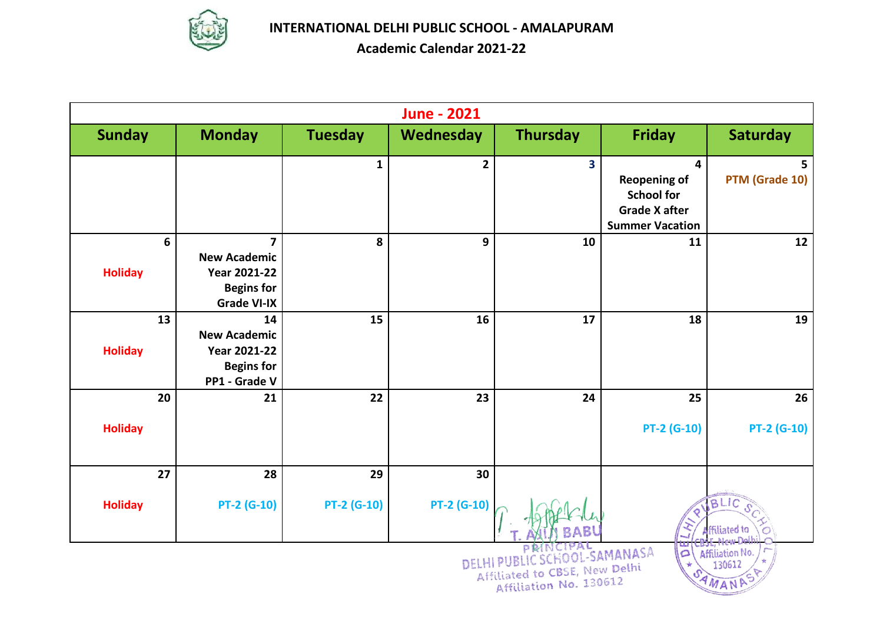

|                      | <b>June - 2021</b>                                                                                                                        |                    |                |                 |                                                                                                 |                      |  |  |  |  |  |
|----------------------|-------------------------------------------------------------------------------------------------------------------------------------------|--------------------|----------------|-----------------|-------------------------------------------------------------------------------------------------|----------------------|--|--|--|--|--|
| <b>Sunday</b>        | <b>Monday</b>                                                                                                                             | <b>Tuesday</b>     | Wednesday      | <b>Thursday</b> | <b>Friday</b>                                                                                   | <b>Saturday</b>      |  |  |  |  |  |
|                      |                                                                                                                                           | $\mathbf{1}$       | $\overline{2}$ | 3               | 4<br><b>Reopening of</b><br><b>School for</b><br><b>Grade X after</b><br><b>Summer Vacation</b> | 5<br>PTM (Grade 10)  |  |  |  |  |  |
| 6<br><b>Holiday</b>  | $\overline{\mathbf{z}}$<br><b>New Academic</b><br><b>Year 2021-22</b><br><b>Begins for</b><br><b>Grade VI-IX</b>                          | 8                  | 9              | 10              | 11                                                                                              | 12                   |  |  |  |  |  |
| 13<br><b>Holiday</b> | 14<br><b>New Academic</b><br><b>Year 2021-22</b><br><b>Begins for</b><br>PP1 - Grade V                                                    | 15                 | 16             | 17              | 18                                                                                              | 19                   |  |  |  |  |  |
| 20                   | 21                                                                                                                                        | 22                 | 23             | 24              | 25                                                                                              | 26                   |  |  |  |  |  |
| <b>Holiday</b>       |                                                                                                                                           |                    |                |                 | PT-2 (G-10)                                                                                     | <b>PT-2 (G-10)</b>   |  |  |  |  |  |
| 27                   | 28                                                                                                                                        | 29                 | 30             |                 |                                                                                                 |                      |  |  |  |  |  |
| <b>Holiday</b>       | <b>PT-2 (G-10)</b>                                                                                                                        | <b>PT-2 (G-10)</b> | PT-2 (G-10)    |                 |                                                                                                 | BLIC<br>ffiliated to |  |  |  |  |  |
|                      | <b>ESAMANASA</b><br>Affiliation No.<br>$\Omega$<br>DELH<br>130612<br>to CBSE, New Delhi<br>Affiliated<br>AMANAS<br>Affiliation No. 130612 |                    |                |                 |                                                                                                 |                      |  |  |  |  |  |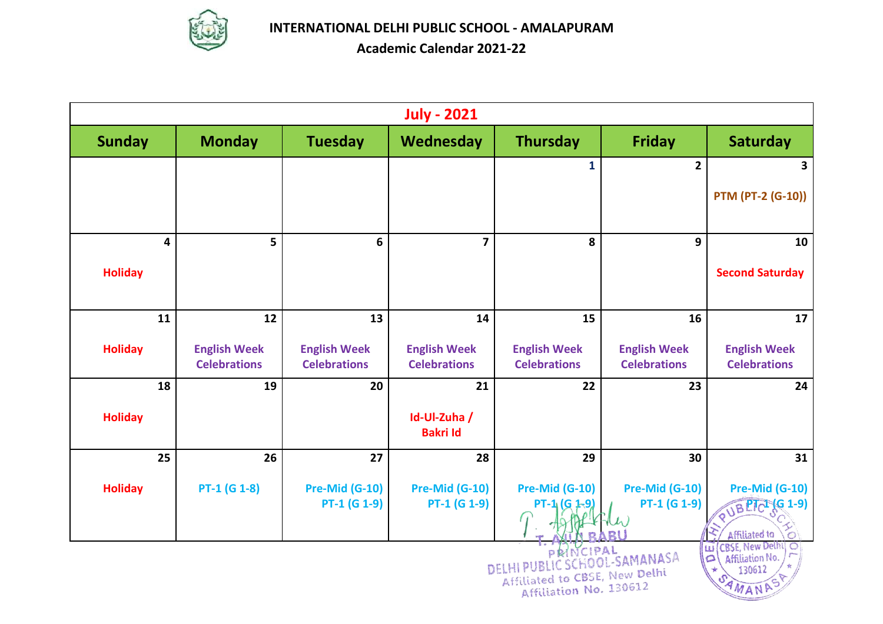

|                | <b>July - 2021</b>                                                                                                                                               |                                            |                                            |                                            |                                            |                                                    |  |  |  |
|----------------|------------------------------------------------------------------------------------------------------------------------------------------------------------------|--------------------------------------------|--------------------------------------------|--------------------------------------------|--------------------------------------------|----------------------------------------------------|--|--|--|
| <b>Sunday</b>  | <b>Monday</b>                                                                                                                                                    | <b>Tuesday</b>                             | Wednesday                                  | <b>Thursday</b>                            | <b>Friday</b>                              | <b>Saturday</b>                                    |  |  |  |
|                |                                                                                                                                                                  |                                            |                                            | $\mathbf{1}$                               | $\overline{2}$                             | 3                                                  |  |  |  |
|                |                                                                                                                                                                  |                                            |                                            |                                            |                                            | <b>PTM (PT-2 (G-10))</b>                           |  |  |  |
| 4              | 5                                                                                                                                                                | $6\phantom{1}$                             | $\overline{\mathbf{z}}$                    | 8                                          | 9                                          | 10                                                 |  |  |  |
| <b>Holiday</b> |                                                                                                                                                                  |                                            |                                            |                                            |                                            | <b>Second Saturday</b>                             |  |  |  |
| 11             | 12                                                                                                                                                               | 13                                         | 14                                         | 15                                         | 16                                         | 17                                                 |  |  |  |
| <b>Holiday</b> | <b>English Week</b><br><b>Celebrations</b>                                                                                                                       | <b>English Week</b><br><b>Celebrations</b> | <b>English Week</b><br><b>Celebrations</b> | <b>English Week</b><br><b>Celebrations</b> | <b>English Week</b><br><b>Celebrations</b> | <b>English Week</b><br><b>Celebrations</b>         |  |  |  |
| 18             | 19                                                                                                                                                               | 20                                         | 21                                         | 22                                         | 23                                         | 24                                                 |  |  |  |
| <b>Holiday</b> |                                                                                                                                                                  |                                            | Id-Ul-Zuha /<br><b>Bakri Id</b>            |                                            |                                            |                                                    |  |  |  |
| 25             | 26                                                                                                                                                               | 27                                         | 28                                         | 29                                         | 30                                         | 31                                                 |  |  |  |
| <b>Holiday</b> | $PT-1$ (G 1-8)                                                                                                                                                   | <b>Pre-Mid (G-10)</b><br>$PT-1$ (G 1-9)    | <b>Pre-Mid (G-10)</b><br>$PT-1$ (G 1-9)    | Pre-Mid (G-10)<br>(G                       | <b>Pre-Mid (G-10)</b><br>$PT-1$ (G 1-9)    | Pre-Mid (G-10)<br>PUBPICI (G 1-9)<br>Affiliated to |  |  |  |
|                | <b>CBSE, New Delhi</b><br> u <br>NCIPAL<br>HOOL-SAMANASA<br>Affiliation No.<br>$\Omega$<br>DE<br>130612<br>to CBSE, New Delhi<br>Affiliation No. 130612<br>AMANA |                                            |                                            |                                            |                                            |                                                    |  |  |  |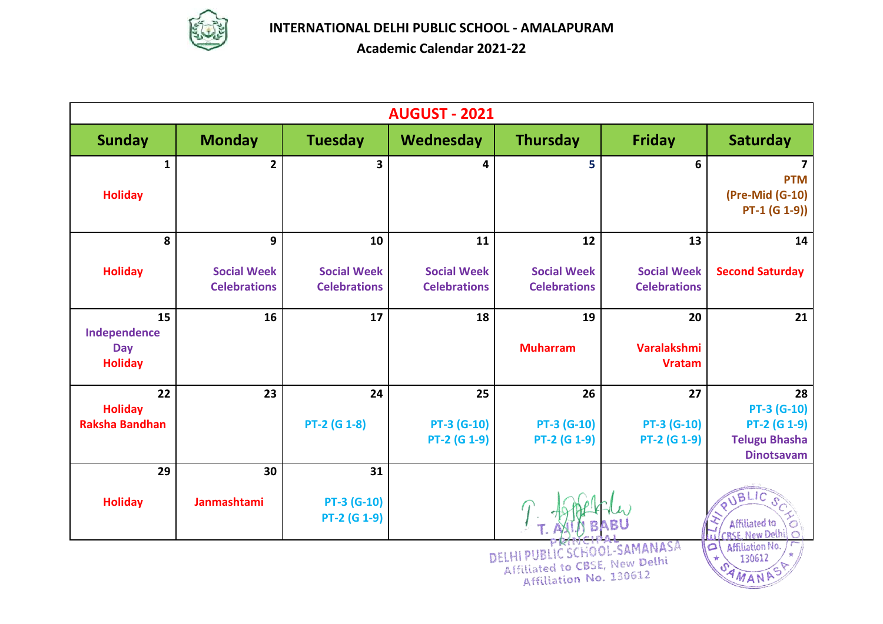

**Academic Calendar 2021-22**

|                                         |                     |                         | <b>AUGUST - 2021</b> |                                                               |                                     |                                           |
|-----------------------------------------|---------------------|-------------------------|----------------------|---------------------------------------------------------------|-------------------------------------|-------------------------------------------|
| <b>Sunday</b>                           | <b>Monday</b>       | <b>Tuesday</b>          | Wednesday            | <b>Thursday</b>                                               | <b>Friday</b>                       | <b>Saturday</b>                           |
| 1                                       | $\mathbf{2}$        | $\overline{\mathbf{3}}$ | 4                    | 5                                                             | 6                                   | <b>PTM</b>                                |
| <b>Holiday</b>                          |                     |                         |                      |                                                               |                                     | (Pre-Mid (G-10)<br>$PT-1$ (G 1-9))        |
| 8                                       | 9                   | 10                      | 11                   | 12                                                            | 13                                  | 14                                        |
| <b>Holiday</b>                          | <b>Social Week</b>  | <b>Social Week</b>      | <b>Social Week</b>   | <b>Social Week</b>                                            | <b>Social Week</b>                  | <b>Second Saturday</b>                    |
|                                         | <b>Celebrations</b> | <b>Celebrations</b>     | <b>Celebrations</b>  | <b>Celebrations</b>                                           | <b>Celebrations</b>                 |                                           |
| 15<br>Independence                      | 16                  | 17                      | 18                   | 19                                                            | 20                                  | 21                                        |
| Day<br><b>Holiday</b>                   |                     |                         |                      | <b>Muharram</b>                                               | <b>Varalakshmi</b><br><b>Vratam</b> |                                           |
| 22                                      | 23                  | 24                      | 25                   | 26                                                            | 27                                  | 28                                        |
| <b>Holiday</b><br><b>Raksha Bandhan</b> |                     | PT-2 (G 1-8)            | <b>PT-3 (G-10)</b>   | <b>PT-3 (G-10)</b>                                            | <b>PT-3 (G-10)</b>                  | <b>PT-3 (G-10)</b><br><b>PT-2 (G 1-9)</b> |
|                                         |                     |                         | PT-2 (G 1-9)         | PT-2 (G 1-9)                                                  | PT-2 (G 1-9)                        | <b>Telugu Bhasha</b>                      |
|                                         |                     |                         |                      |                                                               |                                     | <b>Dinotsavam</b>                         |
| 29                                      | 30                  | 31                      |                      |                                                               |                                     |                                           |
| <b>Holiday</b>                          | Janmashtami         | PT-3 (G-10)             |                      |                                                               |                                     | TBLIC                                     |
|                                         |                     | PT-2 (G 1-9)            |                      |                                                               |                                     | Affiliated to<br><b>RSE New Delhi</b>     |
|                                         |                     |                         |                      | DELHI PUBLIC SCHOOL-SAMANASA<br>Affiliated to CBSE, New Delhi |                                     | Affiliation No.<br>$\circ$<br>130612      |
|                                         |                     |                         |                      | Affiliation No. 130612                                        |                                     | AMANA                                     |

Affiliated to CBSE, New De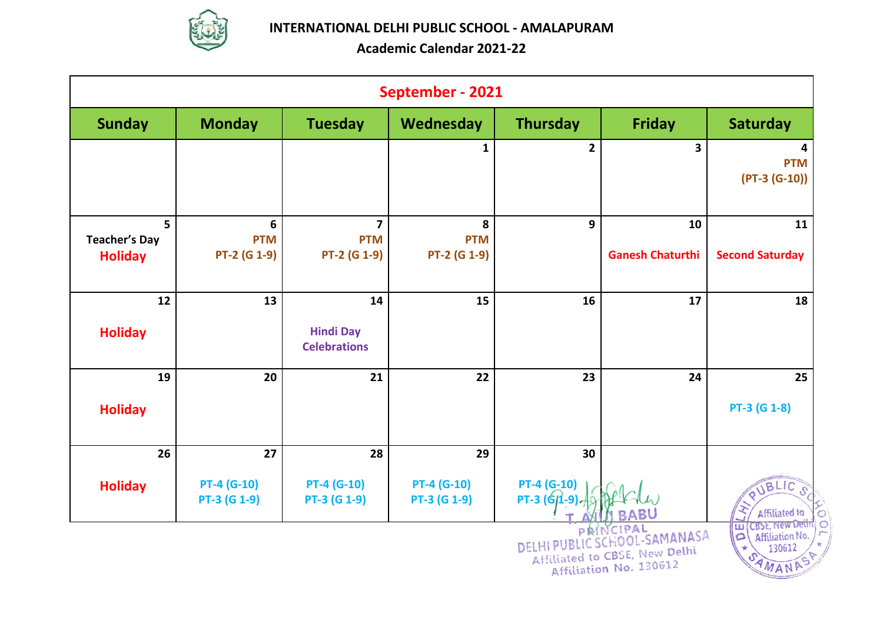

|                                             | September - 2021                               |                                               |                                 |                                      |                                                                                      |                                                                                    |  |  |  |  |
|---------------------------------------------|------------------------------------------------|-----------------------------------------------|---------------------------------|--------------------------------------|--------------------------------------------------------------------------------------|------------------------------------------------------------------------------------|--|--|--|--|
| <b>Sunday</b>                               | <b>Monday</b>                                  | <b>Tuesday</b>                                | Wednesday                       | <b>Thursday</b>                      | <b>Friday</b>                                                                        | <b>Saturday</b>                                                                    |  |  |  |  |
|                                             |                                                |                                               | 1                               | $\overline{\mathbf{2}}$              | $\overline{\mathbf{3}}$                                                              | 4<br><b>PTM</b><br>$(PT-3 (G-10))$                                                 |  |  |  |  |
| 5<br><b>Teacher's Day</b><br><b>Holiday</b> | $\boldsymbol{6}$<br><b>PTM</b><br>PT-2 (G 1-9) | $\overline{7}$<br><b>PTM</b><br>PT-2 (G 1-9)  | 8<br><b>PTM</b><br>PT-2 (G 1-9) | 9                                    | 10<br><b>Ganesh Chaturthi</b>                                                        | 11<br><b>Second Saturday</b>                                                       |  |  |  |  |
| 12<br><b>Holiday</b>                        | 13                                             | 14<br><b>Hindi Day</b><br><b>Celebrations</b> | 15                              | 16                                   | 17                                                                                   | 18                                                                                 |  |  |  |  |
| 19<br><b>Holiday</b>                        | 20                                             | 21                                            | 22                              | 23                                   | 24                                                                                   | 25<br>PT-3 (G 1-8)                                                                 |  |  |  |  |
| 26                                          | 27                                             | 28                                            | 29                              | 30                                   |                                                                                      |                                                                                    |  |  |  |  |
| <b>Holiday</b>                              | <b>PT-4 (G-10)</b><br>PT-3 (G 1-9)             | $PT-4 (G-10)$<br>PT-3 (G 1-9)                 | $PT-4 (G-10)$<br>PT-3 (G 1-9)   | <b>PT-4 (G-10)</b><br>PT-3 $(6/1-9)$ |                                                                                      | UBLIC<br>$\Omega$ .<br>Affiliated to                                               |  |  |  |  |
|                                             |                                                |                                               |                                 | DELHI                                | PRINCIPAL<br>OOL-SAMANASA<br>Affiliated to CBSE, New Delhi<br>Affiliation No. 130612 | <b>LUI</b> CBSE, New Dethi<br>O<br>Affiliation No.<br>$\Omega$<br>130612<br>AMANAS |  |  |  |  |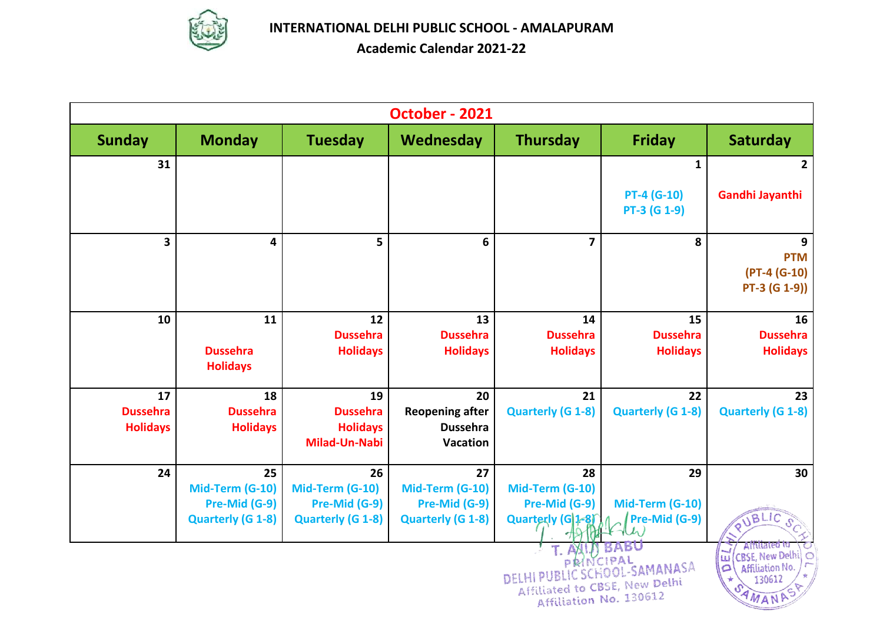

|                                    |                                          |                                                            | October - 2021                                        |                                          |                                                                                         |                                                                                                |
|------------------------------------|------------------------------------------|------------------------------------------------------------|-------------------------------------------------------|------------------------------------------|-----------------------------------------------------------------------------------------|------------------------------------------------------------------------------------------------|
| <b>Sunday</b>                      | <b>Monday</b>                            | <b>Tuesday</b>                                             | Wednesday                                             | <b>Thursday</b>                          | <b>Friday</b>                                                                           | <b>Saturday</b>                                                                                |
| 31                                 |                                          |                                                            |                                                       |                                          | 1                                                                                       | 2                                                                                              |
|                                    |                                          |                                                            |                                                       |                                          | <b>PT-4 (G-10)</b><br>PT-3 (G 1-9)                                                      | Gandhi Jayanthi                                                                                |
| $\overline{\mathbf{3}}$            | 4                                        | 5                                                          | 6                                                     | $\overline{7}$                           | 8                                                                                       | 9<br><b>PTM</b><br>$(PT-4 (G-10))$<br>$PT-3 (G 1-9))$                                          |
| 10                                 | 11<br><b>Dussehra</b><br><b>Holidays</b> | 12<br><b>Dussehra</b><br><b>Holidays</b>                   | 13<br><b>Dussehra</b><br><b>Holidays</b>              | 14<br><b>Dussehra</b><br><b>Holidays</b> | 15<br><b>Dussehra</b><br><b>Holidays</b>                                                | 16<br><b>Dussehra</b><br><b>Holidays</b>                                                       |
| 17                                 | 18                                       | 19                                                         | 20                                                    | 21                                       | 22                                                                                      | 23                                                                                             |
| <b>Dussehra</b><br><b>Holidays</b> | <b>Dussehra</b><br><b>Holidays</b>       | <b>Dussehra</b><br><b>Holidays</b><br><b>Milad-Un-Nabi</b> | <b>Reopening after</b><br><b>Dussehra</b><br>Vacation | <b>Quarterly (G 1-8)</b>                 | <b>Quarterly (G 1-8)</b>                                                                | <b>Quarterly (G 1-8)</b>                                                                       |
| 24                                 | 25                                       | 26                                                         | 27                                                    | 28                                       | 29                                                                                      | 30                                                                                             |
|                                    | Mid-Term (G-10)                          | Mid-Term (G-10)                                            | Mid-Term (G-10)                                       | Mid-Term (G-10)                          |                                                                                         |                                                                                                |
|                                    | Pre-Mid (G-9)                            | Pre-Mid (G-9)                                              | Pre-Mid (G-9)                                         | Pre-Mid (G-9)                            | Mid-Term (G-10)                                                                         |                                                                                                |
|                                    | <b>Quarterly (G 1-8)</b>                 | <b>Quarterly (G 1-8)</b>                                   | <b>Quarterly (G 1-8)</b>                              | Quarterly (G)1-81                        | Pre-Mid (G-9)                                                                           | UBLIC                                                                                          |
|                                    |                                          |                                                            |                                                       | AX<br>PRINCIPAL<br>DEI                   | <b>BABU</b><br>HOOL-SAMANASA<br>Affiliated to CBSE, New Delhi<br>Affiliation No. 130612 | Affiliated to<br><b>CBSE, New Delh</b><br>ωī<br>Affiliation No.<br>$\Omega$<br>130612<br>AMANA |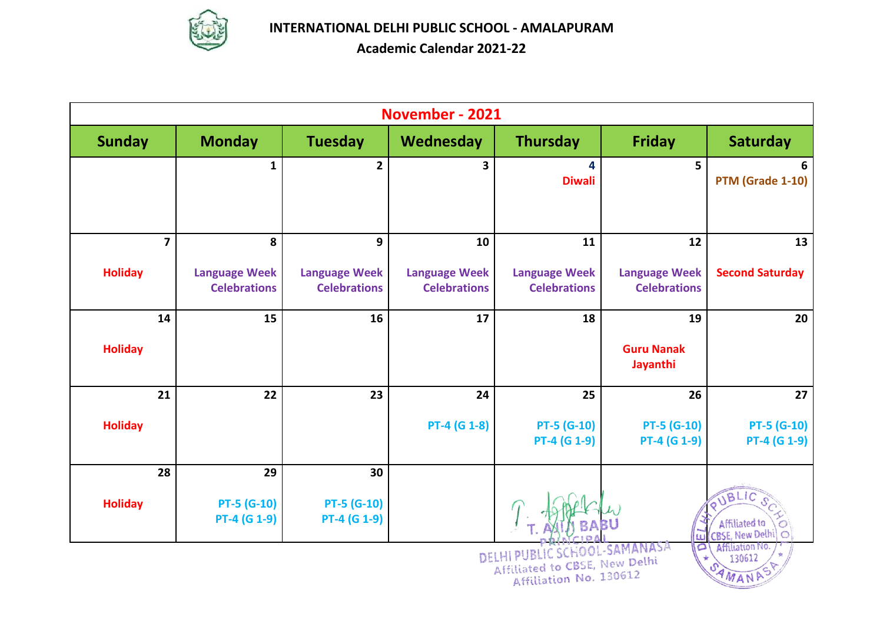

|                                           |                                                                                                                                |                                                  | November - 2021                                   |                                                   |                                                   |                                                 |  |  |  |
|-------------------------------------------|--------------------------------------------------------------------------------------------------------------------------------|--------------------------------------------------|---------------------------------------------------|---------------------------------------------------|---------------------------------------------------|-------------------------------------------------|--|--|--|
| <b>Sunday</b>                             | <b>Monday</b>                                                                                                                  | <b>Tuesday</b>                                   | Wednesday                                         | <b>Thursday</b>                                   | <b>Friday</b>                                     | <b>Saturday</b>                                 |  |  |  |
|                                           | $\mathbf{1}$                                                                                                                   | $\overline{2}$                                   | 3                                                 | 4<br><b>Diwali</b>                                | 5                                                 | 6<br>PTM (Grade 1-10)                           |  |  |  |
| $\overline{\mathbf{z}}$<br><b>Holiday</b> | 8<br><b>Language Week</b><br><b>Celebrations</b>                                                                               | 9<br><b>Language Week</b><br><b>Celebrations</b> | 10<br><b>Language Week</b><br><b>Celebrations</b> | 11<br><b>Language Week</b><br><b>Celebrations</b> | 12<br><b>Language Week</b><br><b>Celebrations</b> | 13<br><b>Second Saturday</b>                    |  |  |  |
| 14<br><b>Holiday</b>                      | 15                                                                                                                             | 16                                               | 17                                                | 18                                                | 19<br><b>Guru Nanak</b><br>Jayanthi               | 20                                              |  |  |  |
| 21<br><b>Holiday</b>                      | 22                                                                                                                             | 23                                               | 24<br>PT-4 (G 1-8)                                | 25<br><b>PT-5 (G-10)</b><br>PT-4 (G 1-9)          | 26<br><b>PT-5 (G-10)</b><br>PT-4 (G 1-9)          | 27<br><b>PT-5 (G-10)</b><br><b>PT-4 (G 1-9)</b> |  |  |  |
| 28<br><b>Holiday</b>                      | 29<br>$PT-5$ (G-10)<br>PT-4 (G 1-9)                                                                                            | 30<br><b>PT-5 (G-10)</b><br>PT-4 (G 1-9)         |                                                   |                                                   | w                                                 | JBLIC<br><b>Affiliated to</b><br>CBSE, New Delh |  |  |  |
|                                           | o<br>Affiliation No.<br>OL-SAMANASA<br>DELHI PUB<br>130612<br>Affiliated to CBSE, New Delhi<br>Affiliation No. 130612<br>AMANA |                                                  |                                                   |                                                   |                                                   |                                                 |  |  |  |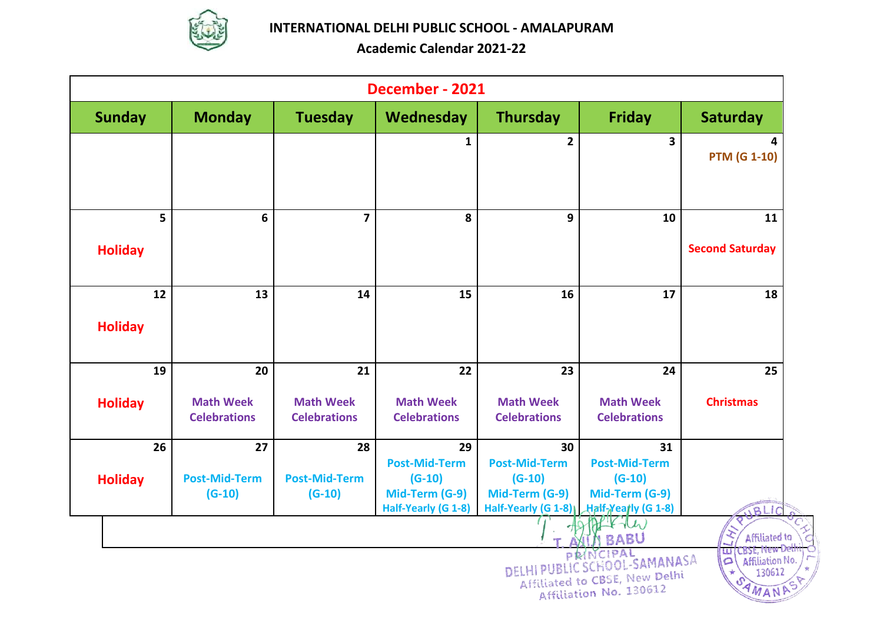

| December - 2021      |                                         |                                         |                                         |                                         |                                                                                           |                                                                                              |  |  |  |
|----------------------|-----------------------------------------|-----------------------------------------|-----------------------------------------|-----------------------------------------|-------------------------------------------------------------------------------------------|----------------------------------------------------------------------------------------------|--|--|--|
| <b>Sunday</b>        | <b>Monday</b>                           | <b>Tuesday</b>                          | Wednesday                               | <b>Thursday</b>                         | <b>Friday</b>                                                                             | <b>Saturday</b>                                                                              |  |  |  |
|                      |                                         |                                         | $\mathbf{1}$                            | $\overline{2}$                          | 3                                                                                         | 4<br><b>PTM (G 1-10)</b>                                                                     |  |  |  |
| 5<br><b>Holiday</b>  | 6                                       | $\overline{7}$                          | 8                                       | 9                                       | 10                                                                                        | 11<br><b>Second Saturday</b>                                                                 |  |  |  |
| 12<br><b>Holiday</b> | 13                                      | 14                                      | 15                                      | 16                                      | 17                                                                                        | 18                                                                                           |  |  |  |
| 19                   | 20                                      | 21                                      | 22                                      | 23                                      | 24                                                                                        | 25                                                                                           |  |  |  |
| <b>Holiday</b>       | <b>Math Week</b><br><b>Celebrations</b> | <b>Math Week</b><br><b>Celebrations</b> | <b>Math Week</b><br><b>Celebrations</b> | <b>Math Week</b><br><b>Celebrations</b> | <b>Math Week</b><br><b>Celebrations</b>                                                   | <b>Christmas</b>                                                                             |  |  |  |
| 26                   | 27<br><b>Post-Mid-Term</b>              | 28<br><b>Post-Mid-Term</b>              | 29<br><b>Post-Mid-Term</b><br>$(G-10)$  | 30<br><b>Post-Mid-Term</b><br>$(G-10)$  | 31<br><b>Post-Mid-Term</b><br>$(G-10)$                                                    |                                                                                              |  |  |  |
| <b>Holiday</b>       | $(G-10)$                                | $(G-10)$                                | Mid-Term (G-9)<br>Half-Yearly (G 1-8)   | Mid-Term (G-9)<br>Half-Yearly (G 1-8)   | Mid-Term (G-9)<br>Half-Yearly (G 1-8)                                                     | BLIC                                                                                         |  |  |  |
|                      |                                         |                                         |                                         | PR<br>DELHI PUBL                        | <b>BABU</b><br>SCHOOL-SAMANASA<br>Affiliated to CBSE, New Delhi<br>Affiliation No. 130612 | Affiliated to<br><b>CBSE, New Det</b><br>w<br>Affiliation No.<br>$\Omega$<br>130612<br>AMANA |  |  |  |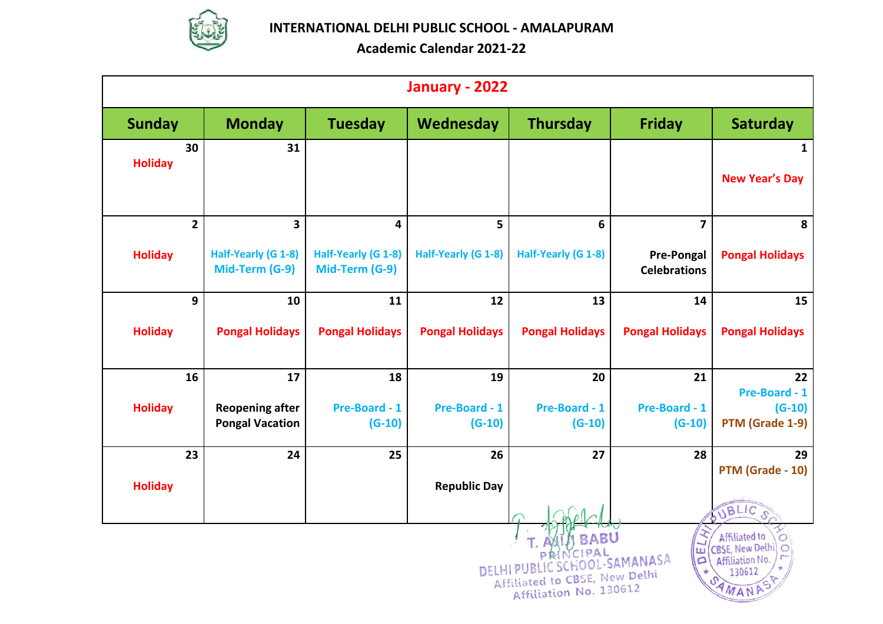

|                | January - 2022                                                                                                                                                                                                                    |                                       |                                       |                        |                        |                                          |                            |  |  |  |  |
|----------------|-----------------------------------------------------------------------------------------------------------------------------------------------------------------------------------------------------------------------------------|---------------------------------------|---------------------------------------|------------------------|------------------------|------------------------------------------|----------------------------|--|--|--|--|
| <b>Sunday</b>  |                                                                                                                                                                                                                                   | <b>Monday</b>                         | <b>Tuesday</b>                        | Wednesday              | <b>Thursday</b>        | <b>Friday</b>                            | <b>Saturday</b>            |  |  |  |  |
| <b>Holiday</b> | 30                                                                                                                                                                                                                                | 31                                    |                                       |                        |                        |                                          | 1<br><b>New Year's Day</b> |  |  |  |  |
|                | $\mathbf{2}$                                                                                                                                                                                                                      | 3                                     | 4                                     | 5                      | 6                      | $\overline{7}$                           | 8                          |  |  |  |  |
| <b>Holiday</b> |                                                                                                                                                                                                                                   | Half-Yearly (G 1-8)<br>Mid-Term (G-9) | Half-Yearly (G 1-8)<br>Mid-Term (G-9) | Half-Yearly (G 1-8)    | Half-Yearly (G 1-8)    | <b>Pre-Pongal</b><br><b>Celebrations</b> | <b>Pongal Holidays</b>     |  |  |  |  |
|                | 9                                                                                                                                                                                                                                 | 10                                    | 11                                    | 12                     | 13                     | 14                                       | 15                         |  |  |  |  |
| <b>Holiday</b> |                                                                                                                                                                                                                                   | <b>Pongal Holidays</b>                | <b>Pongal Holidays</b>                | <b>Pongal Holidays</b> | <b>Pongal Holidays</b> | <b>Pongal Holidays</b>                   | <b>Pongal Holidays</b>     |  |  |  |  |
|                | 16                                                                                                                                                                                                                                | 17                                    | 18                                    | 19                     | 20                     | 21                                       | 22<br>Pre-Board - 1        |  |  |  |  |
| <b>Holiday</b> |                                                                                                                                                                                                                                   | <b>Reopening after</b>                | Pre-Board - 1                         | Pre-Board - 1          | Pre-Board - 1          | Pre-Board - 1                            | $(G-10)$                   |  |  |  |  |
|                |                                                                                                                                                                                                                                   | <b>Pongal Vacation</b>                | $(G-10)$                              | $(G-10)$               | $(G-10)$               | $(G-10)$                                 | PTM (Grade 1-9)            |  |  |  |  |
|                | 23                                                                                                                                                                                                                                | 24                                    | 25                                    | 26                     | 27                     | 28                                       | 29<br>PTM (Grade - 10)     |  |  |  |  |
| <b>Holiday</b> |                                                                                                                                                                                                                                   |                                       |                                       | <b>Republic Day</b>    |                        |                                          |                            |  |  |  |  |
|                |                                                                                                                                                                                                                                   |                                       |                                       |                        |                        |                                          | OUBLIC                     |  |  |  |  |
|                | Affiliated to<br><b>BABU</b><br>CBSE, New Delhi<br>w<br>$1 \, \mathcal{D} \, \Delta \, 1$<br>OOL-SAMANASA<br>$\circ$<br>Affiliation No.<br>DELHI PUB<br>130612<br>Affiliated to CBSE, New Delhi<br>Affiliation No. 130612<br>WANA |                                       |                                       |                        |                        |                                          |                            |  |  |  |  |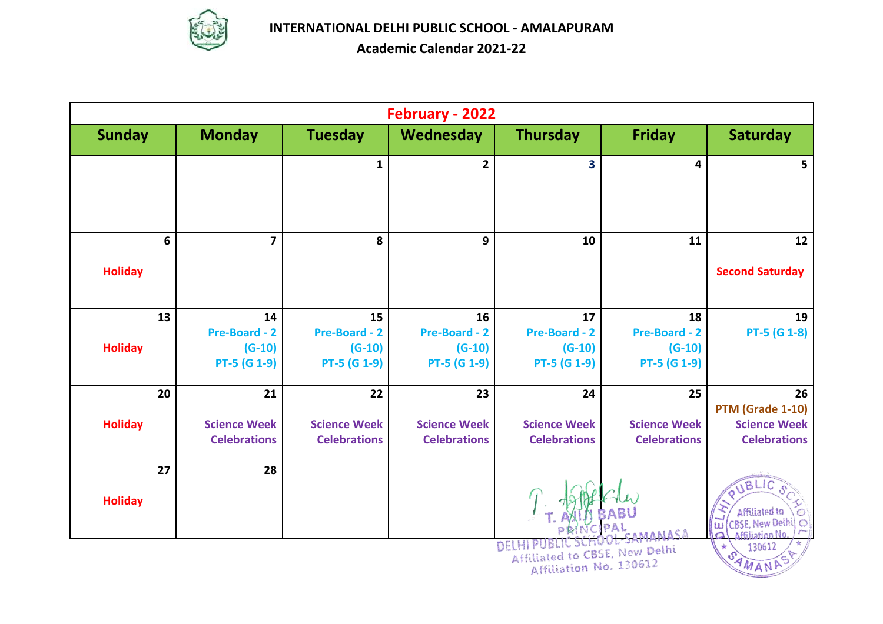

|                      | February - 2022                                        |                                                        |                                                        |                                                         |                                                        |                                                                                      |  |  |  |  |
|----------------------|--------------------------------------------------------|--------------------------------------------------------|--------------------------------------------------------|---------------------------------------------------------|--------------------------------------------------------|--------------------------------------------------------------------------------------|--|--|--|--|
| <b>Sunday</b>        | <b>Monday</b>                                          | <b>Tuesday</b>                                         | Wednesday                                              | <b>Thursday</b>                                         | <b>Friday</b>                                          | <b>Saturday</b>                                                                      |  |  |  |  |
|                      |                                                        | $\mathbf{1}$                                           | $\overline{\mathbf{2}}$                                | $\overline{\mathbf{3}}$                                 | 4                                                      | 5.                                                                                   |  |  |  |  |
| 6<br><b>Holiday</b>  | $\overline{\mathbf{z}}$                                | 8                                                      | 9                                                      | 10                                                      | 11                                                     | 12<br><b>Second Saturday</b>                                                         |  |  |  |  |
| 13<br><b>Holiday</b> | 14<br><b>Pre-Board - 2</b><br>$(G-10)$<br>PT-5 (G 1-9) | 15<br><b>Pre-Board - 2</b><br>$(G-10)$<br>PT-5 (G 1-9) | 16<br><b>Pre-Board - 2</b><br>$(G-10)$<br>PT-5 (G 1-9) | 17<br><b>Pre-Board - 2</b><br>$(G-10)$<br>PT-5 (G 1-9)  | 18<br><b>Pre-Board - 2</b><br>$(G-10)$<br>PT-5 (G 1-9) | 19<br><b>PT-5 (G 1-8)</b>                                                            |  |  |  |  |
| 20<br><b>Holiday</b> | 21<br><b>Science Week</b><br><b>Celebrations</b>       | 22<br><b>Science Week</b><br><b>Celebrations</b>       | 23<br><b>Science Week</b><br><b>Celebrations</b>       | 24<br><b>Science Week</b><br><b>Celebrations</b>        | 25<br><b>Science Week</b><br><b>Celebrations</b>       | 26<br>PTM (Grade 1-10)<br><b>Science Week</b><br><b>Celebrations</b>                 |  |  |  |  |
| 27<br><b>Holiday</b> | 28                                                     |                                                        |                                                        |                                                         |                                                        | Affiliated to<br><b>CBSE, New Delhi</b><br>w<br><b>Affiliation No</b><br>$\triangle$ |  |  |  |  |
|                      |                                                        |                                                        |                                                        | Affiliated to CBSE, New Delhi<br>Affiliation No. 130612 |                                                        | 130612<br>AMANA                                                                      |  |  |  |  |